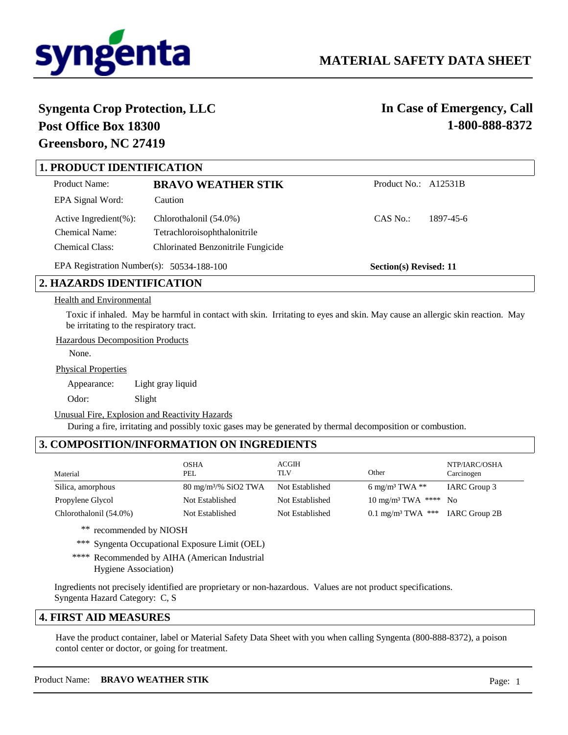

**Section(s) Revised: 11**

# **Syngenta Crop Protection, LLC Post Office Box 18300 Greensboro, NC 27419**

**In Case of Emergency, Call 1-800-888-8372**

# **1. PRODUCT IDENTIFICATION**

| Product Name:               | <b>BRAVO WEATHER STIK</b>          | Product No.: A12531B |           |
|-----------------------------|------------------------------------|----------------------|-----------|
| EPA Signal Word:            | Caution                            |                      |           |
| Active Ingredient $(\% )$ : | Chlorothalonil (54.0%)             | CAS No.:             | 1897-45-6 |
| <b>Chemical Name:</b>       | Tetrachloroisophthalonitrile       |                      |           |
| <b>Chemical Class:</b>      | Chlorinated Benzonitrile Fungicide |                      |           |

EPA Registration Number(s): 50534-188-100

# **2. HAZARDS IDENTIFICATION**

#### Health and Environmental

Toxic if inhaled. May be harmful in contact with skin. Irritating to eyes and skin. May cause an allergic skin reaction. May be irritating to the respiratory tract.

Hazardous Decomposition Products

None.

Physical Properties

Appearance: Light gray liquid

Odor: Slight

Unusual Fire, Explosion and Reactivity Hazards

During a fire, irritating and possibly toxic gases may be generated by thermal decomposition or combustion.

# **3. COMPOSITION/INFORMATION ON INGREDIENTS**

| Material               | <b>OSHA</b><br>PEL             | ACGIH<br>TLV    | Other                                       | NTP/IARC/OSHA<br>Carcinogen |
|------------------------|--------------------------------|-----------------|---------------------------------------------|-----------------------------|
| Silica, amorphous      | $80 \text{ mg/m}^3\%$ SiO2 TWA | Not Established | 6 mg/m <sup>3</sup> TWA $**$                | IARC Group 3                |
| Propylene Glycol       | Not Established                | Not Established | $10 \text{ mg/m}^3$ TWA **** No             |                             |
| Chlorothalonil (54.0%) | Not Established                | Not Established | 0.1 mg/m <sup>3</sup> TWA *** IARC Group 2B |                             |

\*\* recommended by NIOSH

\*\*\* Syngenta Occupational Exposure Limit (OEL)

\*\*\*\* Recommended by AIHA (American Industrial Hygiene Association)

Ingredients not precisely identified are proprietary or non-hazardous. Values are not product specifications. Syngenta Hazard Category: C, S

#### **4. FIRST AID MEASURES**

Have the product container, label or Material Safety Data Sheet with you when calling Syngenta (800-888-8372), a poison contol center or doctor, or going for treatment.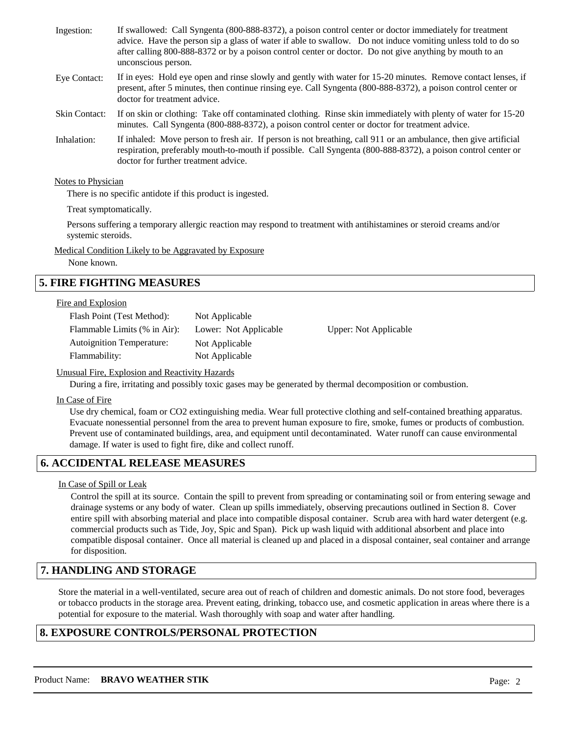| Ingestion:           | If swallowed: Call Syngenta (800-888-8372), a poison control center or doctor immediately for treatment<br>advice. Have the person sip a glass of water if able to swallow. Do not induce vomiting unless told to do so<br>after calling 800-888-8372 or by a poison control center or doctor. Do not give anything by mouth to an<br>unconscious person. |
|----------------------|-----------------------------------------------------------------------------------------------------------------------------------------------------------------------------------------------------------------------------------------------------------------------------------------------------------------------------------------------------------|
| Eye Contact:         | If in eyes: Hold eye open and rinse slowly and gently with water for 15-20 minutes. Remove contact lenses, if<br>present, after 5 minutes, then continue rinsing eye. Call Syngenta (800-888-8372), a poison control center or<br>doctor for treatment advice.                                                                                            |
| <b>Skin Contact:</b> | If on skin or clothing: Take off contaminated clothing. Rinse skin immediately with plenty of water for 15-20<br>minutes. Call Syngenta (800-888-8372), a poison control center or doctor for treatment advice.                                                                                                                                           |
| Inhalation:          | If inhaled: Move person to fresh air. If person is not breathing, call 911 or an ambulance, then give artificial<br>respiration, preferably mouth-to-mouth if possible. Call Syngenta (800-888-8372), a poison control center or<br>doctor for further treatment advice.                                                                                  |

#### Notes to Physician

There is no specific antidote if this product is ingested.

Treat symptomatically.

Persons suffering a temporary allergic reaction may respond to treatment with antihistamines or steroid creams and/or systemic steroids.

Medical Condition Likely to be Aggravated by Exposure

None known.

# **5. FIRE FIGHTING MEASURES**

#### Fire and Explosion

| Flash Point (Test Method):       | Not Applicable        |   |
|----------------------------------|-----------------------|---|
| Flammable Limits (% in Air):     | Lower: Not Applicable | U |
| <b>Autoignition Temperature:</b> | Not Applicable        |   |
| Flammability:                    | Not Applicable        |   |

pper: Not Applicable

#### Unusual Fire, Explosion and Reactivity Hazards

During a fire, irritating and possibly toxic gases may be generated by thermal decomposition or combustion.

#### In Case of Fire

Use dry chemical, foam or CO2 extinguishing media. Wear full protective clothing and self-contained breathing apparatus. Evacuate nonessential personnel from the area to prevent human exposure to fire, smoke, fumes or products of combustion. Prevent use of contaminated buildings, area, and equipment until decontaminated. Water runoff can cause environmental damage. If water is used to fight fire, dike and collect runoff.

# **6. ACCIDENTAL RELEASE MEASURES**

#### In Case of Spill or Leak

Control the spill at its source. Contain the spill to prevent from spreading or contaminating soil or from entering sewage and drainage systems or any body of water. Clean up spills immediately, observing precautions outlined in Section 8. Cover entire spill with absorbing material and place into compatible disposal container. Scrub area with hard water detergent (e.g. commercial products such as Tide, Joy, Spic and Span). Pick up wash liquid with additional absorbent and place into compatible disposal container. Once all material is cleaned up and placed in a disposal container, seal container and arrange for disposition.

## **7. HANDLING AND STORAGE**

Store the material in a well-ventilated, secure area out of reach of children and domestic animals. Do not store food, beverages or tobacco products in the storage area. Prevent eating, drinking, tobacco use, and cosmetic application in areas where there is a potential for exposure to the material. Wash thoroughly with soap and water after handling.

## **8. EXPOSURE CONTROLS/PERSONAL PROTECTION**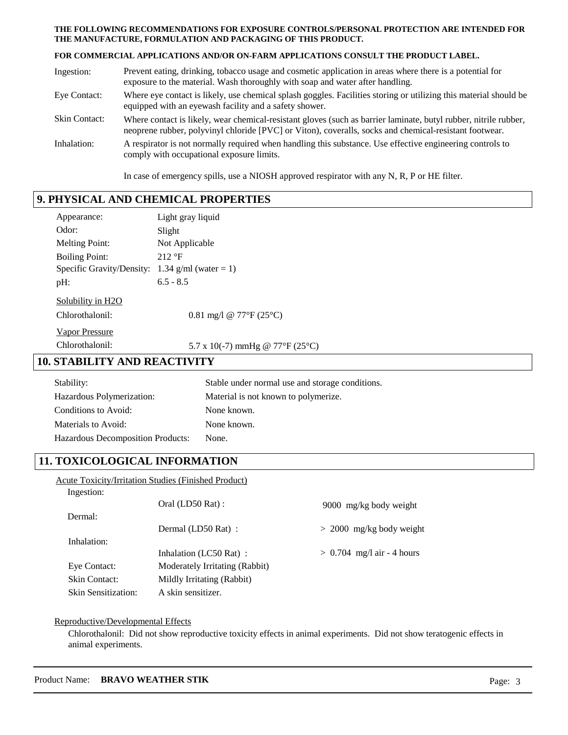#### **THE FOLLOWING RECOMMENDATIONS FOR EXPOSURE CONTROLS/PERSONAL PROTECTION ARE INTENDED FOR THE MANUFACTURE, FORMULATION AND PACKAGING OF THIS PRODUCT.**

#### **FOR COMMERCIAL APPLICATIONS AND/OR ON-FARM APPLICATIONS CONSULT THE PRODUCT LABEL.**

| Ingestion:           | Prevent eating, drinking, tobacco usage and cosmetic application in areas where there is a potential for<br>exposure to the material. Wash thoroughly with soap and water after handling.                                  |
|----------------------|----------------------------------------------------------------------------------------------------------------------------------------------------------------------------------------------------------------------------|
| Eye Contact:         | Where eye contact is likely, use chemical splash goggles. Facilities storing or utilizing this material should be<br>equipped with an eyewash facility and a safety shower.                                                |
| <b>Skin Contact:</b> | Where contact is likely, wear chemical-resistant gloves (such as barrier laminate, butyl rubber, nitrile rubber,<br>neoprene rubber, polyvinyl chloride [PVC] or Viton), coveralls, socks and chemical-resistant footwear. |
| Inhalation:          | A respirator is not normally required when handling this substance. Use effective engineering controls to<br>comply with occupational exposure limits.                                                                     |

In case of emergency spills, use a NIOSH approved respirator with any N, R, P or HE filter.

# **9. PHYSICAL AND CHEMICAL PROPERTIES**

| Appearance:                         | Light gray liquid                               |
|-------------------------------------|-------------------------------------------------|
| Odor:                               | Slight                                          |
| <b>Melting Point:</b>               | Not Applicable                                  |
| <b>Boiling Point:</b>               | 212 °F                                          |
|                                     | Specific Gravity/Density: 1.34 g/ml (water = 1) |
| pH:                                 | $6.5 - 8.5$                                     |
| Solubility in H2O                   |                                                 |
| Chlorothalonil:                     | 0.81 mg/l @ 77°F (25°C)                         |
| <b>Vapor Pressure</b>               |                                                 |
| Chlorothalonil:                     | 5.7 x 10(-7) mmHg @ 77°F (25°C)                 |
| <b>10. STABILITY AND REACTIVITY</b> |                                                 |
| $\mathsf{Stability}$                | Stable under normal use and storage conditions  |

| Stability:                        | Stable under normal use and storage conditions. |
|-----------------------------------|-------------------------------------------------|
| Hazardous Polymerization:         | Material is not known to polymerize.            |
| Conditions to Avoid:              | None known.                                     |
| Materials to Avoid:               | None known.                                     |
| Hazardous Decomposition Products: | None.                                           |

# **11. TOXICOLOGICAL INFORMATION**

|                            | <b>Acute Toxicity/Irritation Studies (Finished Product)</b> |                              |
|----------------------------|-------------------------------------------------------------|------------------------------|
| Ingestion:                 |                                                             |                              |
|                            | Oral (LD50 Rat):                                            | 9000 mg/kg body weight       |
| Dermal:                    |                                                             |                              |
|                            | Dermal (LD50 Rat) :                                         | $> 2000$ mg/kg body weight   |
| Inhalation:                |                                                             |                              |
|                            | Inhalation (LC50 Rat):                                      | $> 0.704$ mg/l air - 4 hours |
| Eye Contact:               | Moderately Irritating (Rabbit)                              |                              |
| <b>Skin Contact:</b>       | Mildly Irritating (Rabbit)                                  |                              |
| <b>Skin Sensitization:</b> | A skin sensitizer.                                          |                              |

# Reproductive/Developmental Effects

Chlorothalonil: Did not show reproductive toxicity effects in animal experiments. Did not show teratogenic effects in animal experiments.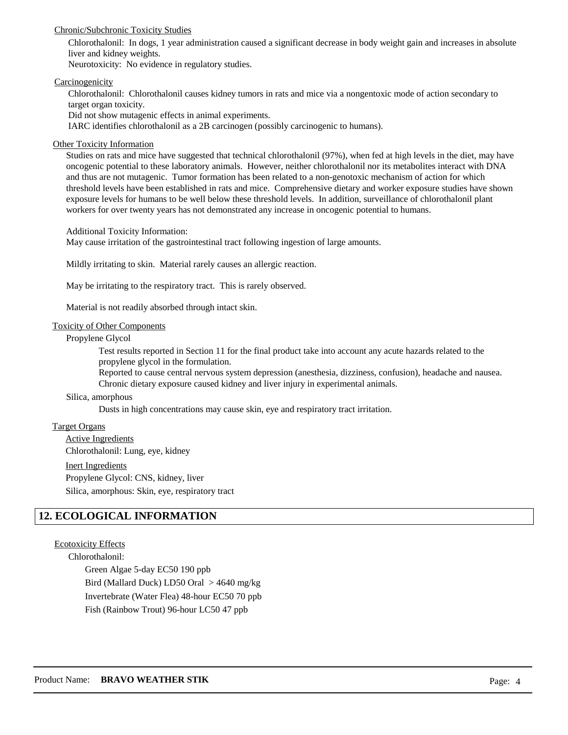#### Chronic/Subchronic Toxicity Studies

Chlorothalonil: In dogs, 1 year administration caused a significant decrease in body weight gain and increases in absolute liver and kidney weights.

Neurotoxicity: No evidence in regulatory studies.

#### **Carcinogenicity**

Chlorothalonil: Chlorothalonil causes kidney tumors in rats and mice via a nongentoxic mode of action secondary to target organ toxicity.

Did not show mutagenic effects in animal experiments.

IARC identifies chlorothalonil as a 2B carcinogen (possibly carcinogenic to humans).

### Other Toxicity Information

Studies on rats and mice have suggested that technical chlorothalonil (97%), when fed at high levels in the diet, may have oncogenic potential to these laboratory animals. However, neither chlorothalonil nor its metabolites interact with DNA and thus are not mutagenic. Tumor formation has been related to a non-genotoxic mechanism of action for which threshold levels have been established in rats and mice. Comprehensive dietary and worker exposure studies have shown exposure levels for humans to be well below these threshold levels. In addition, surveillance of chlorothalonil plant workers for over twenty years has not demonstrated any increase in oncogenic potential to humans.

Additional Toxicity Information:

May cause irritation of the gastrointestinal tract following ingestion of large amounts.

Mildly irritating to skin. Material rarely causes an allergic reaction.

May be irritating to the respiratory tract. This is rarely observed.

Material is not readily absorbed through intact skin.

#### Toxicity of Other Components

#### Propylene Glycol

Test results reported in Section 11 for the final product take into account any acute hazards related to the propylene glycol in the formulation.

Reported to cause central nervous system depression (anesthesia, dizziness, confusion), headache and nausea. Chronic dietary exposure caused kidney and liver injury in experimental animals.

#### Silica, amorphous

Dusts in high concentrations may cause skin, eye and respiratory tract irritation.

#### Target Organs

Active Ingredients Inert Ingredients Chlorothalonil: Lung, eye, kidney Propylene Glycol: CNS, kidney, liver Silica, amorphous: Skin, eye, respiratory tract

## **12. ECOLOGICAL INFORMATION**

#### Ecotoxicity Effects

Chlorothalonil:

Green Algae 5-day EC50 190 ppb Bird (Mallard Duck) LD50 Oral > 4640 mg/kg

Invertebrate (Water Flea) 48-hour EC50 70 ppb

Fish (Rainbow Trout) 96-hour LC50 47 ppb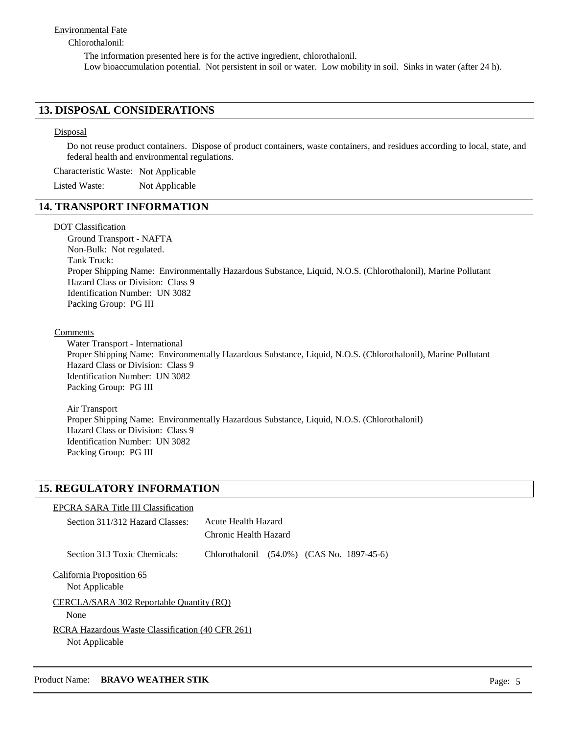#### Environmental Fate

#### Chlorothalonil:

The information presented here is for the active ingredient, chlorothalonil. Low bioaccumulation potential. Not persistent in soil or water. Low mobility in soil. Sinks in water (after 24 h).

### **13. DISPOSAL CONSIDERATIONS**

#### Disposal

Do not reuse product containers. Dispose of product containers, waste containers, and residues according to local, state, and federal health and environmental regulations.

Characteristic Waste: Not Applicable

Listed Waste: Not Applicable

## **14. TRANSPORT INFORMATION**

#### DOT Classification

Ground Transport - NAFTA Non-Bulk: Not regulated. Tank Truck: Proper Shipping Name: Environmentally Hazardous Substance, Liquid, N.O.S. (Chlorothalonil), Marine Pollutant Hazard Class or Division: Class 9 Identification Number: UN 3082 Packing Group: PG III

#### Comments

Water Transport - International Proper Shipping Name: Environmentally Hazardous Substance, Liquid, N.O.S. (Chlorothalonil), Marine Pollutant Hazard Class or Division: Class 9 Identification Number: UN 3082 Packing Group: PG III

Air Transport Proper Shipping Name: Environmentally Hazardous Substance, Liquid, N.O.S. (Chlorothalonil) Hazard Class or Division: Class 9 Identification Number: UN 3082 Packing Group: PG III

# **15. REGULATORY INFORMATION**

| <b>EPCRA SARA Title III Classification</b><br>Section 311/312 Hazard Classes: | Acute Health Hazard<br>Chronic Health Hazard |  |  |
|-------------------------------------------------------------------------------|----------------------------------------------|--|--|
| Section 313 Toxic Chemicals:                                                  | Chlorothalonil (54.0%) (CAS No. 1897-45-6)   |  |  |
| California Proposition 65<br>Not Applicable                                   |                                              |  |  |
| CERCLA/SARA 302 Reportable Quantity (RQ)                                      |                                              |  |  |
| None                                                                          |                                              |  |  |
| RCRA Hazardous Waste Classification (40 CFR 261)<br>Not Applicable            |                                              |  |  |